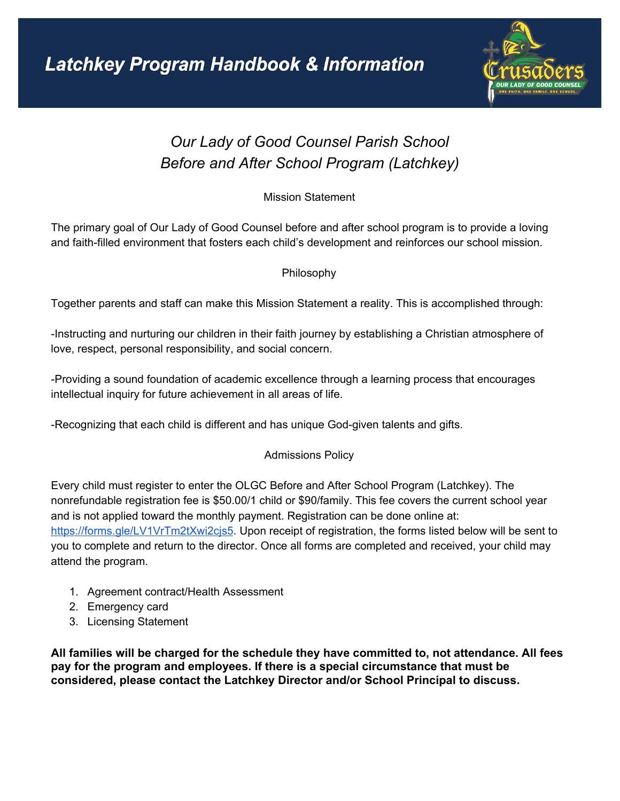

# *Our Lady of Good Counsel Parish School Before and After School Program (Latchkey)*

Mission Statement

The primary goal of Our Lady of Good Counsel before and after school program is to provide a loving and faith-filled environment that fosters each child's development and reinforces our school mission.

Philosophy

Together parents and staff can make this Mission Statement a reality. This is accomplished through:

-Instructing and nurturing our children in their faith journey by establishing a Christian atmosphere of love, respect, personal responsibility, and social concern.

-Providing a sound foundation of academic excellence through a learning process that encourages intellectual inquiry for future achievement in all areas of life.

-Recognizing that each child is different and has unique God-given talents and gifts.

# Admissions Policy

Every child must register to enter the OLGC Before and After School Program (Latchkey). The nonrefundable registration fee is \$50.00/1 child or \$90/family. This fee covers the current school year and is not applied toward the monthly payment. Registration can be done online at: <https://forms.gle/LV1VrTm2tXwi2cjs5>. Upon receipt of registration, the forms listed below will be sent to you to complete and return to the director. Once all forms are completed and received, your child may attend the program.

- 1. Agreement contract/Health Assessment
- 2. Emergency card
- 3. Licensing Statement

**All families will be charged for the schedule they have committed to, not attendance. All fees pay for the program and employees. If there is a special circumstance that must be considered, please contact the Latchkey Director and/or School Principal to discuss.**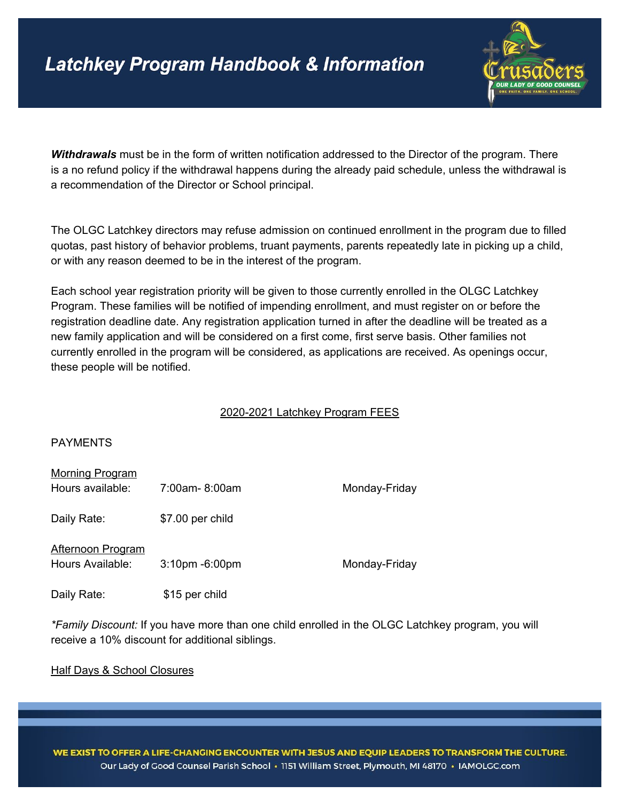

*Withdrawals* must be in the form of written notification addressed to the Director of the program. There is a no refund policy if the withdrawal happens during the already paid schedule, unless the withdrawal is a recommendation of the Director or School principal.

The OLGC Latchkey directors may refuse admission on continued enrollment in the program due to filled quotas, past history of behavior problems, truant payments, parents repeatedly late in picking up a child, or with any reason deemed to be in the interest of the program.

Each school year registration priority will be given to those currently enrolled in the OLGC Latchkey Program. These families will be notified of impending enrollment, and must register on or before the registration deadline date. Any registration application turned in after the deadline will be treated as a new family application and will be considered on a first come, first serve basis. Other families not currently enrolled in the program will be considered, as applications are received. As openings occur, these people will be notified.

#### 2020-2021 Latchkey Program FEES

#### PAYMENTS

| <b>Morning Program</b>                       |                  |               |
|----------------------------------------------|------------------|---------------|
| Hours available:                             | 7:00am-8:00am    | Monday-Friday |
| Daily Rate:                                  | \$7.00 per child |               |
| <b>Afternoon Program</b><br>Hours Available: | 3:10pm -6:00pm   | Monday-Friday |
| Daily Rate:                                  | \$15 per child   |               |

*\*Family Discount:* If you have more than one child enrolled in the OLGC Latchkey program, you will receive a 10% discount for additional siblings.

Half Days & School Closures

WE EXIST TO OFFER A LIFE-CHANGING ENCOUNTER WITH JESUS AND EQUIP LEADERS TO TRANSFORM THE CULTURE. Our Lady of Good Counsel Parish School · 1151 William Street, Plymouth, MI 48170 · IAMOLGC.com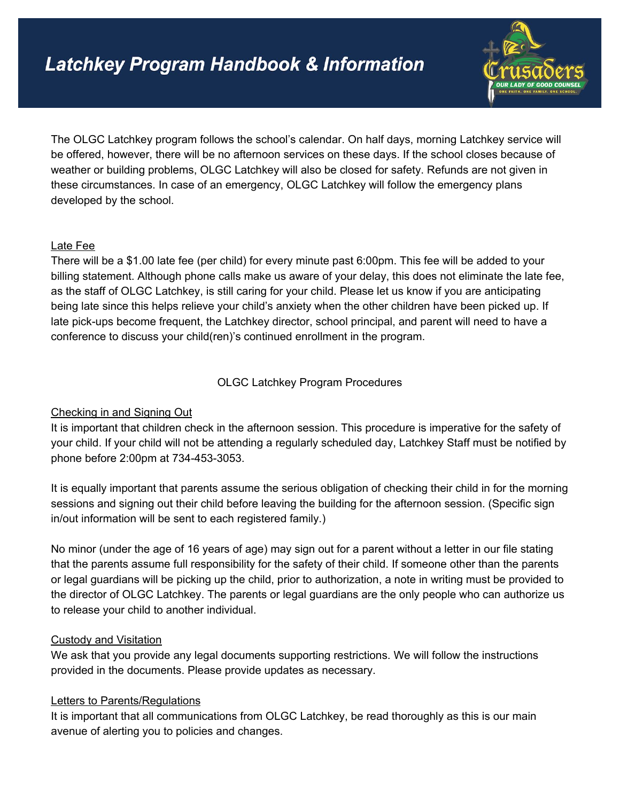

The OLGC Latchkey program follows the school's calendar. On half days, morning Latchkey service will be offered, however, there will be no afternoon services on these days. If the school closes because of weather or building problems, OLGC Latchkey will also be closed for safety. Refunds are not given in these circumstances. In case of an emergency, OLGC Latchkey will follow the emergency plans developed by the school.

## Late Fee

There will be a \$1.00 late fee (per child) for every minute past 6:00pm. This fee will be added to your billing statement. Although phone calls make us aware of your delay, this does not eliminate the late fee, as the staff of OLGC Latchkey, is still caring for your child. Please let us know if you are anticipating being late since this helps relieve your child's anxiety when the other children have been picked up. If late pick-ups become frequent, the Latchkey director, school principal, and parent will need to have a conference to discuss your child(ren)'s continued enrollment in the program.

OLGC Latchkey Program Procedures

# Checking in and Signing Out

It is important that children check in the afternoon session. This procedure is imperative for the safety of your child. If your child will not be attending a regularly scheduled day, Latchkey Staff must be notified by phone before 2:00pm at 734-453-3053.

It is equally important that parents assume the serious obligation of checking their child in for the morning sessions and signing out their child before leaving the building for the afternoon session. (Specific sign in/out information will be sent to each registered family.)

No minor (under the age of 16 years of age) may sign out for a parent without a letter in our file stating that the parents assume full responsibility for the safety of their child. If someone other than the parents or legal guardians will be picking up the child, prior to authorization, a note in writing must be provided to the director of OLGC Latchkey. The parents or legal guardians are the only people who can authorize us to release your child to another individual.

#### Custody and Visitation

We ask that you provide any legal documents supporting restrictions. We will follow the instructions provided in the documents. Please provide updates as necessary.

#### Letters to Parents/Regulations

It is important that all communications from OLGC Latchkey, be read thoroughly as this is our main avenue of alerting you to policies and changes.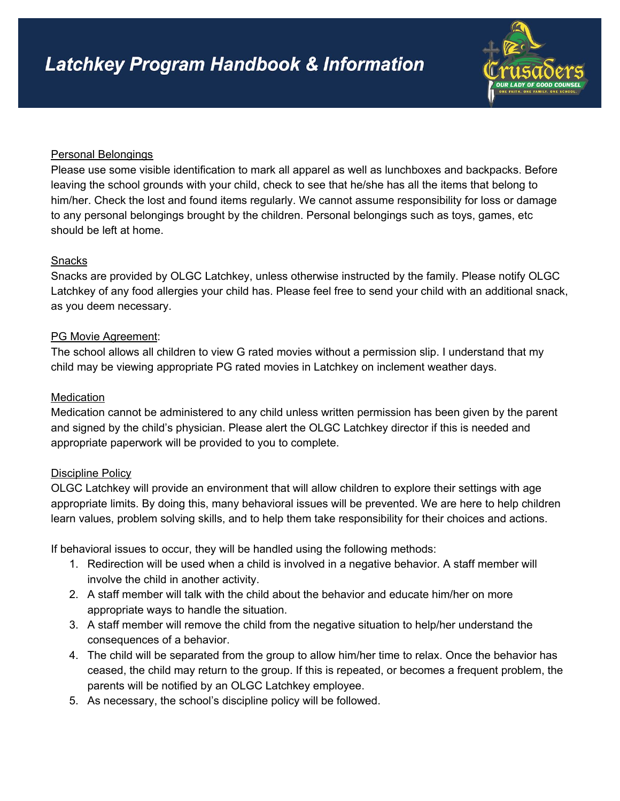

#### Personal Belongings

Please use some visible identification to mark all apparel as well as lunchboxes and backpacks. Before leaving the school grounds with your child, check to see that he/she has all the items that belong to him/her. Check the lost and found items regularly. We cannot assume responsibility for loss or damage to any personal belongings brought by the children. Personal belongings such as toys, games, etc should be left at home.

## Snacks

Snacks are provided by OLGC Latchkey, unless otherwise instructed by the family. Please notify OLGC Latchkey of any food allergies your child has. Please feel free to send your child with an additional snack, as you deem necessary.

## PG Movie Agreement:

The school allows all children to view G rated movies without a permission slip. I understand that my child may be viewing appropriate PG rated movies in Latchkey on inclement weather days.

## **Medication**

Medication cannot be administered to any child unless written permission has been given by the parent and signed by the child's physician. Please alert the OLGC Latchkey director if this is needed and appropriate paperwork will be provided to you to complete.

#### Discipline Policy

OLGC Latchkey will provide an environment that will allow children to explore their settings with age appropriate limits. By doing this, many behavioral issues will be prevented. We are here to help children learn values, problem solving skills, and to help them take responsibility for their choices and actions.

If behavioral issues to occur, they will be handled using the following methods:

- 1. Redirection will be used when a child is involved in a negative behavior. A staff member will involve the child in another activity.
- 2. A staff member will talk with the child about the behavior and educate him/her on more appropriate ways to handle the situation.
- 3. A staff member will remove the child from the negative situation to help/her understand the consequences of a behavior.
- 4. The child will be separated from the group to allow him/her time to relax. Once the behavior has ceased, the child may return to the group. If this is repeated, or becomes a frequent problem, the parents will be notified by an OLGC Latchkey employee.
- 5. As necessary, the school's discipline policy will be followed.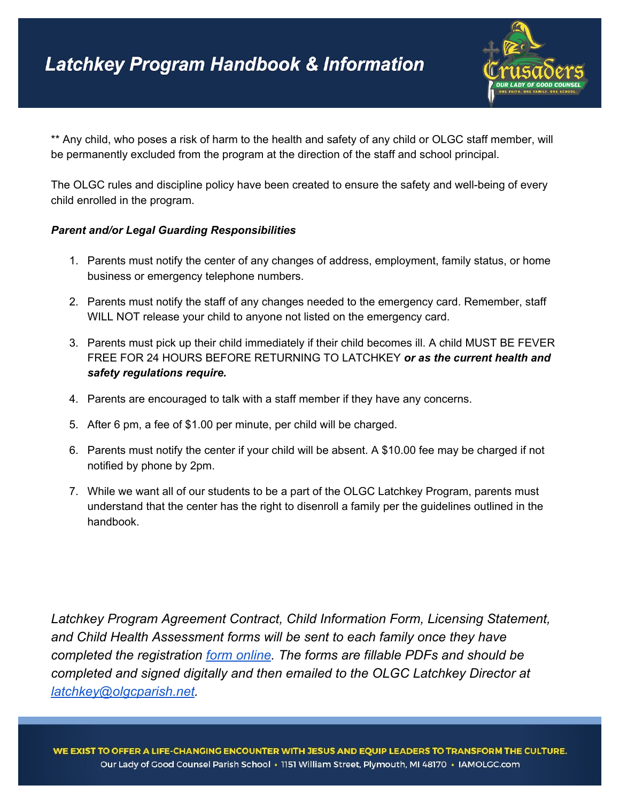

\*\* Any child, who poses a risk of harm to the health and safety of any child or OLGC staff member, will be permanently excluded from the program at the direction of the staff and school principal.

The OLGC rules and discipline policy have been created to ensure the safety and well-being of every child enrolled in the program.

#### *Parent and/or Legal Guarding Responsibilities*

- 1. Parents must notify the center of any changes of address, employment, family status, or home business or emergency telephone numbers.
- 2. Parents must notify the staff of any changes needed to the emergency card. Remember, staff WILL NOT release your child to anyone not listed on the emergency card.
- 3. Parents must pick up their child immediately if their child becomes ill. A child MUST BE FEVER FREE FOR 24 HOURS BEFORE RETURNING TO LATCHKEY *or as the current health and safety regulations require.*
- 4. Parents are encouraged to talk with a staff member if they have any concerns.
- 5. After 6 pm, a fee of \$1.00 per minute, per child will be charged.
- 6. Parents must notify the center if your child will be absent. A \$10.00 fee may be charged if not notified by phone by 2pm.
- 7. While we want all of our students to be a part of the OLGC Latchkey Program, parents must understand that the center has the right to disenroll a family per the guidelines outlined in the handbook.

*Latchkey Program Agreement Contract, Child Information Form, Licensing Statement, and Child Health Assessment forms will be sent to each family once they have completed the registration form [online.](https://docs.google.com/forms/d/e/1FAIpQLSezOUEq_bQznf8pghvPrnDALkB6fPOPC8K9j7zIds6gcnQFjg/viewform) The forms are fillable PDFs and should be completed and signed digitally and then emailed to the OLGC Latchkey Director at [latchkey@olgcparish.net](mailto:latchkey@olgcparish.net).*